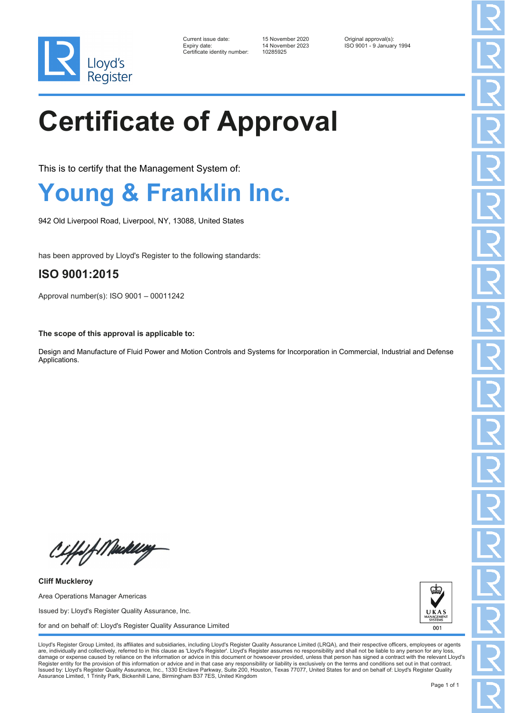

| Current issue date:          | 15 November 2020 | Original approval(s):     |
|------------------------------|------------------|---------------------------|
| Expiry date:                 | 14 November 2023 | ISO 9001 - 9 January 1994 |
| Certificate identity number: | 10285925         |                           |

# **Certificate of Approval**

This is to certify that the Management System of:

## **Young & Franklin Inc.**

942 Old Liverpool Road, Liverpool, NY, 13088, United States

has been approved by Lloyd's Register to the following standards:

### **ISO 9001:2015**

Approval number(s): ISO 9001 – 00011242

**The scope of this approval is applicable to:**

Design and Manufacture of Fluid Power and Motion Controls and Systems for Incorporation in Commercial, Industrial and Defense Applications.

Ciffof Meddley

**Cliff Muckleroy** Area Operations Manager Americas Issued by: Lloyd's Register Quality Assurance, Inc. for and on behalf of: Lloyd's Register Quality Assurance Limited



Lloyd's Register Group Limited, its affiliates and subsidiaries, including Lloyd's Register Quality Assurance Limited (LRQA), and their respective officers, employees or agents are, individually and collectively, referred to in this clause as 'Lloyd's Register'. Lloyd's Register assumes no responsibility and shall not be liable to any person for any los damage or expense caused by reliance on the information or advice in this document or howsoever provided, unless that person has signed a contract with the relevant Lloyd's<br>Register entity for the provision of this informa Issued by: Lloyd's Register Quality Assurance, Inc., 1330 Enclave Parkway, Suite 200, Houston, Texas 77077, United States for and on behalf of: Lloyd's Register Quality Assurance Limited, 1 Trinity Park, Bickenhill Lane, Birmingham B37 7ES, United Kingdom